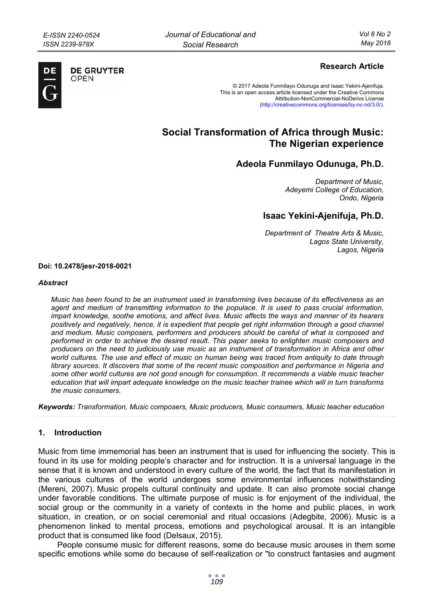

**DE GRUYTER** OPFN

# **Research Article**

© 2017 Adeola Funmilayo Odunuga and Isaac Yekini-Ajenifuja. This is an open access article licensed under the Creative Commons Attribution-NonCommercial-NoDerivs License (http://creativecommons.org/licenses/by-nc-nd/3.0/).

# **Social Transformation of Africa through Music: The Nigerian experience**

# **Adeola Funmilayo Odunuga, Ph.D.**

*Department of Music, Adeyemi College of Education, Ondo, Nigeria* 

# **Isaac Yekini-Ajenifuja, Ph.D.**

*Department of Theatre Arts & Music, Lagos State University, Lagos, Nigeria* 

**Doi: 10.2478/jesr-2018-0021** 

#### *Abstract*

*Music has been found to be an instrument used in transforming lives because of its effectiveness as an*  agent and medium of transmitting information to the populace. It is used to pass crucial information, *impart knowledge, soothe emotions, and affect lives. Music affects the ways and manner of its hearers positively and negatively, hence, it is expedient that people get right information through a good channel and medium. Music composers, performers and producers should be careful of what is composed and performed in order to achieve the desired result. This paper seeks to enlighten music composers and producers on the need to judiciously use music as an instrument of transformation in Africa and other world cultures. The use and effect of music on human being was traced from antiquity to date through*  library sources. It discovers that some of the recent music composition and performance in Nigeria and *some other world cultures are not good enough for consumption. It recommends a viable music teacher education that will impart adequate knowledge on the music teacher trainee which will in turn transforms the music consumers.* 

*Keywords: Transformation, Music composers, Music producers, Music consumers, Music teacher education* 

#### **1. Introduction**

Music from time immemorial has been an instrument that is used for influencing the society. This is found in its use for molding people's character and for instruction. It is a universal language in the sense that it is known and understood in every culture of the world, the fact that its manifestation in the various cultures of the world undergoes some environmental influences notwithstanding (Mereni, 2007). Music propels cultural continuity and update. It can also promote social change under favorable conditions. The ultimate purpose of music is for enjoyment of the individual, the social group or the community in a variety of contexts in the home and public places, in work situation, in creation, or on social ceremonial and ritual occasions (Adegbite, 2006). Music is a phenomenon linked to mental process, emotions and psychological arousal. It is an intangible product that is consumed like food (Delsaux, 2015).

People consume music for different reasons, some do because music arouses in them some specific emotions while some do because of self-realization or "to construct fantasies and augment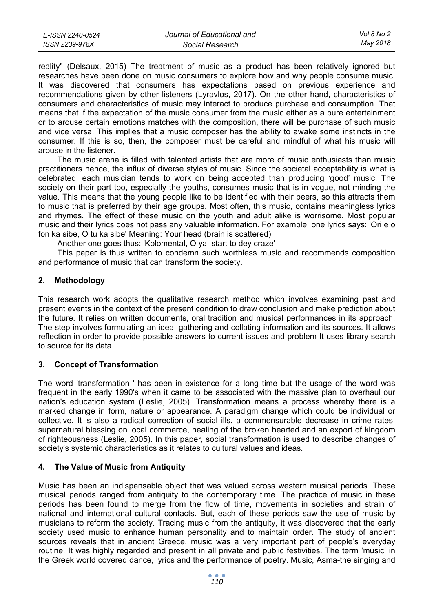| E-ISSN 2240-0524 | Journal of Educational and | Vol 8 No 2 |
|------------------|----------------------------|------------|
| ISSN 2239-978X   | Social Research            | May 2018   |

reality" (Delsaux, 2015) The treatment of music as a product has been relatively ignored but researches have been done on music consumers to explore how and why people consume music. It was discovered that consumers has expectations based on previous experience and recommendations given by other listeners (Lyravlos, 2017). On the other hand, characteristics of consumers and characteristics of music may interact to produce purchase and consumption. That means that if the expectation of the music consumer from the music either as a pure entertainment or to arouse certain emotions matches with the composition, there will be purchase of such music and vice versa. This implies that a music composer has the ability to awake some instincts in the consumer. If this is so, then, the composer must be careful and mindful of what his music will arouse in the listener.

The music arena is filled with talented artists that are more of music enthusiasts than music practitioners hence, the influx of diverse styles of music. Since the societal acceptability is what is celebrated, each musician tends to work on being accepted than producing 'good' music. The society on their part too, especially the youths, consumes music that is in vogue, not minding the value. This means that the young people like to be identified with their peers, so this attracts them to music that is preferred by their age groups. Most often, this music, contains meaningless lyrics and rhymes. The effect of these music on the youth and adult alike is worrisome. Most popular music and their lyrics does not pass any valuable information. For example, one lyrics says: 'Ori e o fon ka sibe, O tu ka sibe' Meaning: Your head (brain is scattered)

Another one goes thus: 'Kolomental, O ya, start to dey craze'

This paper is thus written to condemn such worthless music and recommends composition and performance of music that can transform the society.

## **2. Methodology**

This research work adopts the qualitative research method which involves examining past and present events in the context of the present condition to draw conclusion and make prediction about the future. It relies on written documents, oral tradition and musical performances in its approach. The step involves formulating an idea, gathering and collating information and its sources. It allows reflection in order to provide possible answers to current issues and problem It uses library search to source for its data.

#### **3. Concept of Transformation**

The word 'transformation ' has been in existence for a long time but the usage of the word was frequent in the early 1990's when it came to be associated with the massive plan to overhaul our nation's education system (Leslie, 2005). Transformation means a process whereby there is a marked change in form, nature or appearance. A paradigm change which could be individual or collective. It is also a radical correction of social ills, a commensurable decrease in crime rates, supernatural blessing on local commerce, healing of the broken hearted and an export of kingdom of righteousness (Leslie, 2005). In this paper, social transformation is used to describe changes of society's systemic characteristics as it relates to cultural values and ideas.

#### **4. The Value of Music from Antiquity**

Music has been an indispensable object that was valued across western musical periods. These musical periods ranged from antiquity to the contemporary time. The practice of music in these periods has been found to merge from the flow of time, movements in societies and strain of national and international cultural contacts. But, each of these periods saw the use of music by musicians to reform the society. Tracing music from the antiquity, it was discovered that the early society used music to enhance human personality and to maintain order. The study of ancient sources reveals that in ancient Greece, music was a very important part of people's everyday routine. It was highly regarded and present in all private and public festivities. The term 'music' in the Greek world covered dance, lyrics and the performance of poetry. Music, Asma-the singing and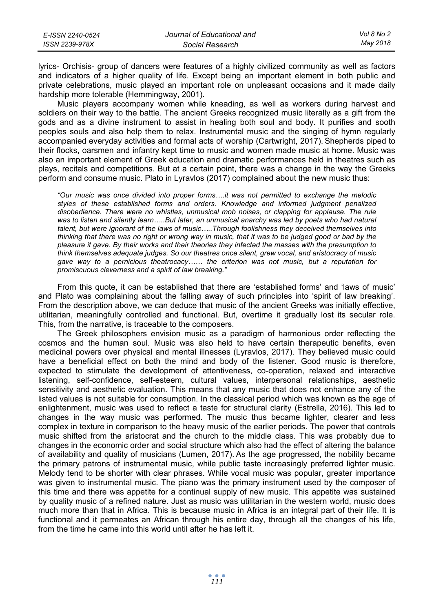| E-ISSN 2240-0524 | Journal of Educational and | Vol 8 No 2 |
|------------------|----------------------------|------------|
| ISSN 2239-978X   | Social Research            | Mav 2018   |

lyrics- Orchisis- group of dancers were features of a highly civilized community as well as factors and indicators of a higher quality of life. Except being an important element in both public and private celebrations, music played an important role on unpleasant occasions and it made daily hardship more tolerable (Hemmingway, 2001).

Music players accompany women while kneading, as well as workers during harvest and soldiers on their way to the battle. The ancient Greeks recognized music literally as a gift from the gods and as a divine instrument to assist in healing both soul and body. It purifies and sooth peoples souls and also help them to relax. Instrumental music and the singing of hymn regularly accompanied everyday activities and formal acts of worship (Cartwright, 2017). Shepherds piped to their flocks, oarsmen and infantry kept time to music and women made music at home. Music was also an important element of Greek education and dramatic performances held in theatres such as plays, recitals and competitions. But at a certain point, there was a change in the way the Greeks perform and consume music. Plato in Lyravlos (2017) complained about the new music thus:

*"Our music was once divided into proper forms….it was not permitted to exchange the melodic styles of these established forms and orders. Knowledge and informed judgment penalized disobedience. There were no whistles, unmusical mob noises, or clapping for applause. The rule*  was to listen and silently learn.....But later, an unmusical anarchy was led by poets who had natural *talent, but were ignorant of the laws of music…..Through foolishness they deceived themselves into thinking that there was no right or wrong way in music, that it was to be judged good or bad by the pleasure it gave. By their works and their theories they infected the masses with the presumption to think themselves adequate judges. So our theatres once silent, grew vocal, and aristocracy of music gave way to a pernicious theatrocacy…… the criterion was not music, but a reputation for promiscuous cleverness and a spirit of law breaking."* 

From this quote, it can be established that there are 'established forms' and 'laws of music' and Plato was complaining about the falling away of such principles into 'spirit of law breaking'. From the description above, we can deduce that music of the ancient Greeks was initially effective, utilitarian, meaningfully controlled and functional. But, overtime it gradually lost its secular role. This, from the narrative, is traceable to the composers.

The Greek philosophers envision music as a paradigm of harmonious order reflecting the cosmos and the human soul. Music was also held to have certain therapeutic benefits, even medicinal powers over physical and mental illnesses (Lyravlos, 2017). They believed music could have a beneficial effect on both the mind and body of the listener. Good music is therefore, expected to stimulate the development of attentiveness, co-operation, relaxed and interactive listening, self-confidence, self-esteem, cultural values, interpersonal relationships, aesthetic sensitivity and aesthetic evaluation. This means that any music that does not enhance any of the listed values is not suitable for consumption. In the classical period which was known as the age of enlightenment, music was used to reflect a taste for structural clarity (Estrella, 2016). This led to changes in the way music was performed. The music thus became lighter, clearer and less complex in texture in comparison to the heavy music of the earlier periods. The power that controls music shifted from the aristocrat and the church to the middle class. This was probably due to changes in the economic order and social structure which also had the effect of altering the balance of availability and quality of musicians (Lumen, 2017). As the age progressed, the nobility became the primary patrons of instrumental music, while public taste increasingly preferred lighter music. Melody tend to be shorter with clear phrases. While vocal music was popular, greater importance was given to instrumental music. The piano was the primary instrument used by the composer of this time and there was appetite for a continual supply of new music. This appetite was sustained by quality music of a refined nature. Just as music was utilitarian in the western world, music does much more than that in Africa. This is because music in Africa is an integral part of their life. It is functional and it permeates an African through his entire day, through all the changes of his life, from the time he came into this world until after he has left it.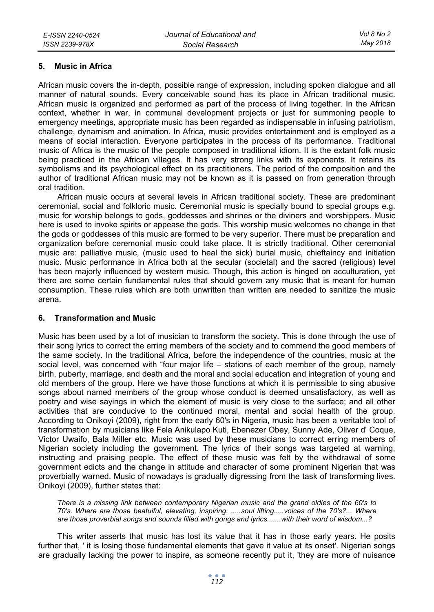#### **5. Music in Africa**

African music covers the in-depth, possible range of expression, including spoken dialogue and all manner of natural sounds. Every conceivable sound has its place in African traditional music. African music is organized and performed as part of the process of living together. In the African context, whether in war, in communal development projects or just for summoning people to emergency meetings, appropriate music has been regarded as indispensable in infusing patriotism, challenge, dynamism and animation. In Africa, music provides entertainment and is employed as a means of social interaction. Everyone participates in the process of its performance. Traditional music of Africa is the music of the people composed in traditional idiom. It is the extant folk music being practiced in the African villages. It has very strong links with its exponents. It retains its symbolisms and its psychological effect on its practitioners. The period of the composition and the author of traditional African music may not be known as it is passed on from generation through oral tradition.

African music occurs at several levels in African traditional society. These are predominant ceremonial, social and folkloric music. Ceremonial music is specially bound to special groups e.g. music for worship belongs to gods, goddesses and shrines or the diviners and worshippers. Music here is used to invoke spirits or appease the gods. This worship music welcomes no change in that the gods or goddesses of this music are formed to be very superior. There must be preparation and organization before ceremonial music could take place. It is strictly traditional. Other ceremonial music are: palliative music, (music used to heal the sick) burial music, chieftaincy and initiation music. Music performance in Africa both at the secular (societal) and the sacred (religious) level has been majorly influenced by western music. Though, this action is hinged on acculturation, yet there are some certain fundamental rules that should govern any music that is meant for human consumption. These rules which are both unwritten than written are needed to sanitize the music arena.

#### **6. Transformation and Music**

Music has been used by a lot of musician to transform the society. This is done through the use of their song lyrics to correct the erring members of the society and to commend the good members of the same society. In the traditional Africa, before the independence of the countries, music at the social level, was concerned with "four major life – stations of each member of the group, namely birth, puberty, marriage, and death and the moral and social education and integration of young and old members of the group. Here we have those functions at which it is permissible to sing abusive songs about named members of the group whose conduct is deemed unsatisfactory, as well as poetry and wise sayings in which the element of music is very close to the surface; and all other activities that are conducive to the continued moral, mental and social health of the group. According to Onikoyi (2009), right from the early 60's in Nigeria, music has been a veritable tool of transformation by musicians like Fela Anikulapo Kuti, Ebenezer Obey, Sunny Ade, Oliver d' Coque, Victor Uwaifo, Bala Miller etc. Music was used by these musicians to correct erring members of Nigerian society including the government. The lyrics of their songs was targeted at warning, instructing and praising people. The effect of these music was felt by the withdrawal of some government edicts and the change in attitude and character of some prominent Nigerian that was proverbially warned. Music of nowadays is gradually digressing from the task of transforming lives. Onikoyi (2009), further states that:

*There is a missing link between contemporary Nigerian music and the grand oldies of the 60's to 70's. Where are those beatuiful, elevating, inspiring, .....soul lifting.....voices of the 70's?... Where are those proverbial songs and sounds filled with gongs and lyrics.......with their word of wisdom...?* 

This writer asserts that music has lost its value that it has in those early years. He posits further that, ' it is losing those fundamental elements that gave it value at its onset'. Nigerian songs are gradually lacking the power to inspire, as someone recently put it, 'they are more of nuisance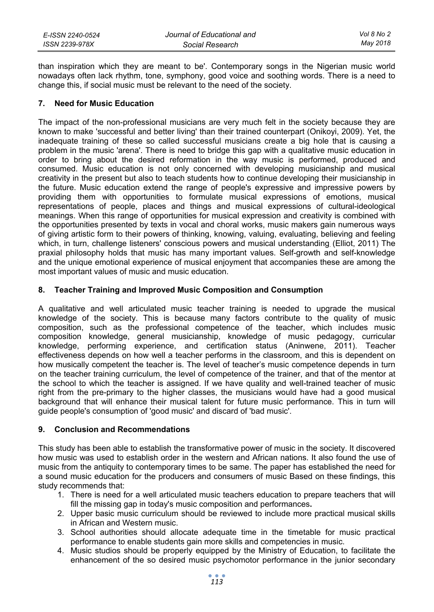| E-ISSN 2240-0524 | Journal of Educational and | Vol 8 No 2 |
|------------------|----------------------------|------------|
| ISSN 2239-978X   | Social Research            | May 2018   |

than inspiration which they are meant to be'. Contemporary songs in the Nigerian music world nowadays often lack rhythm, tone, symphony, good voice and soothing words. There is a need to change this, if social music must be relevant to the need of the society.

### **7. Need for Music Education**

The impact of the non-professional musicians are very much felt in the society because they are known to make 'successful and better living' than their trained counterpart (Onikoyi, 2009). Yet, the inadequate training of these so called successful musicians create a big hole that is causing a problem in the music 'arena'. There is need to bridge this gap with a qualitative music education in order to bring about the desired reformation in the way music is performed, produced and consumed. Music education is not only concerned with developing musicianship and musical creativity in the present but also to teach students how to continue developing their musicianship in the future. Music education extend the range of people's expressive and impressive powers by providing them with opportunities to formulate musical expressions of emotions, musical representations of people, places and things and musical expressions of cultural-ideological meanings. When this range of opportunities for musical expression and creativity is combined with the opportunities presented by texts in vocal and choral works, music makers gain numerous ways of giving artistic form to their powers of thinking, knowing, valuing, evaluating, believing and feeling which, in turn, challenge listeners' conscious powers and musical understanding. (Elliot, 2011) The praxial philosophy holds that music has many important values. Self-growth and self-knowledge and the unique emotional experience of musical enjoyment that accompanies these are among the most important values of music and music education.

## **8. Teacher Training and Improved Music Composition and Consumption**

A qualitative and well articulated music teacher training is needed to upgrade the musical knowledge of the society. This is because many factors contribute to the quality of music composition, such as the professional competence of the teacher, which includes music composition knowledge, general musicianship, knowledge of music pedagogy, curricular knowledge, performing experience, and certification status (Aninwene, 2011). Teacher effectiveness depends on how well a teacher performs in the classroom, and this is dependent on how musically competent the teacher is. The level of teacher's music competence depends in turn on the teacher training curriculum, the level of competence of the trainer, and that of the mentor at the school to which the teacher is assigned. If we have quality and well-trained teacher of music right from the pre-primary to the higher classes, the musicians would have had a good musical background that will enhance their musical talent for future music performance. This in turn will guide people's consumption of 'good music' and discard of 'bad music'.

#### **9. Conclusion and Recommendations**

This study has been able to establish the transformative power of music in the society. It discovered how music was used to establish order in the western and African nations. It also found the use of music from the antiquity to contemporary times to be same. The paper has established the need for a sound music education for the producers and consumers of music Based on these findings, this study recommends that:

- 1. There is need for a well articulated music teachers education to prepare teachers that will fill the missing gap in today's music composition and performances**.**
- 2. Upper basic music curriculum should be reviewed to include more practical musical skills in African and Western music.
- 3. School authorities should allocate adequate time in the timetable for music practical performance to enable students gain more skills and competencies in music.
- 4. Music studios should be properly equipped by the Ministry of Education, to facilitate the enhancement of the so desired music psychomotor performance in the junior secondary